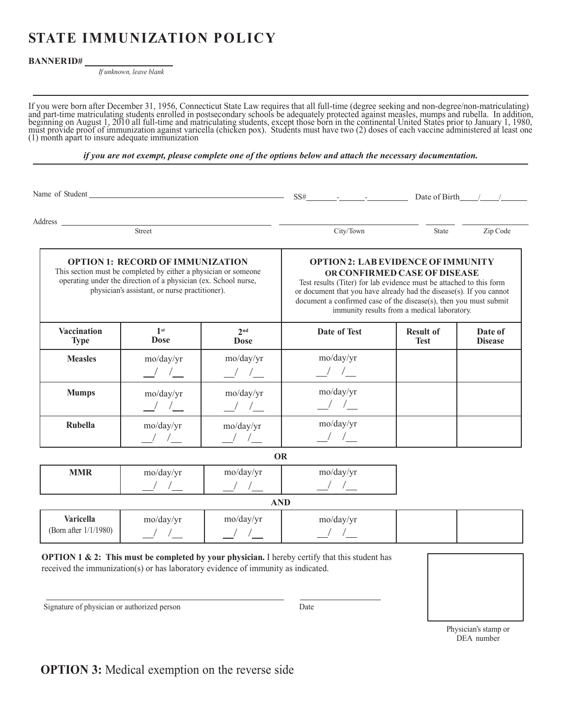# **STATE IMMUNIZATION POLICY**

**OPTION 1: RECORD OF IMMUNIZATION** This section must be completed by either a physician or someone operating under the direction of a physician (ex. School nurse, physician's assistant, or nurse practitioner).

## **BANNERID#**

*If unknown, leave blank*

If you were born after December 31, 1956, Connecticut State Law requires that all full-time (degree seeking and non-degree/non-matriculating)<br>and part-time matriculating students enrolled in postsecondary schools be adequa

*if you are not exempt, please complete one of the options below and attach the necessary documentation.*

Name of Student <u>SS# - - - Date of Birth Contract Constantine SS</u>

Address

Street City/Town State Zip Code

## **OPTION 2: LABEVIDENCEOFIMMUNITY OR CONFIRMED CASE OF DISEASE**

Test results (Titer) for lab evidence must be attached to this form or document that you have already had the disease(s). If you cannot document a confirmed case of the disease(s), then you must submit immunity results from a medical laboratory.

| <b>Vaccination</b><br><b>Type</b> | 1st<br><b>Dose</b> | 2 <sub>nd</sub><br><b>Dose</b> | Date of Test | <b>Result of</b><br><b>Test</b> | Date of<br><b>Disease</b> |
|-----------------------------------|--------------------|--------------------------------|--------------|---------------------------------|---------------------------|
| <b>Measles</b>                    | mo/day/yr          | mo/day/yr                      | mo/day/yr    |                                 |                           |
| <b>Mumps</b>                      | mo/day/yr          | mo/day/yr                      | mo/day/yr    |                                 |                           |
| <b>Rubella</b>                    | mo/day/yr          | mo/day/yr                      | mo/day/yr    |                                 |                           |

**OR**

|     | VN                          |           |           |  |
|-----|-----------------------------|-----------|-----------|--|
| MMR | mo/day/yr                   | mo/day/yr | mo/day/yr |  |
|     |                             |           |           |  |
|     | $\sim$ $\sim$ $\sim$ $\sim$ |           |           |  |

### **AND Varicella** (Born after 1/1/1980) mo/day/yr / / mo/day/yr / / mo/day/yr / /

**OPTION 1 & 2: This must be completed by your physician.** I hereby certify that this student has received the immunization(s) or has laboratory evidence of immunity as indicated.



Physician's stamp or DEA number

Signature of physician or authorized person Date

**OPTION 3:** Medical exemption on the reverse side